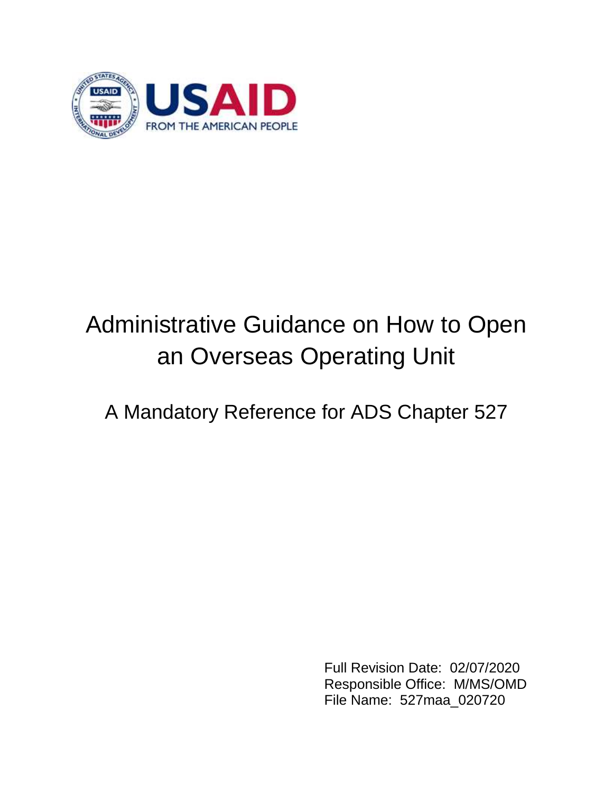

# Administrative Guidance on How to Open an Overseas Operating Unit

A Mandatory Reference for ADS Chapter 527

 Full Revision Date: 02/07/2020 Responsible Office: M/MS/OMD File Name: 527maa\_020720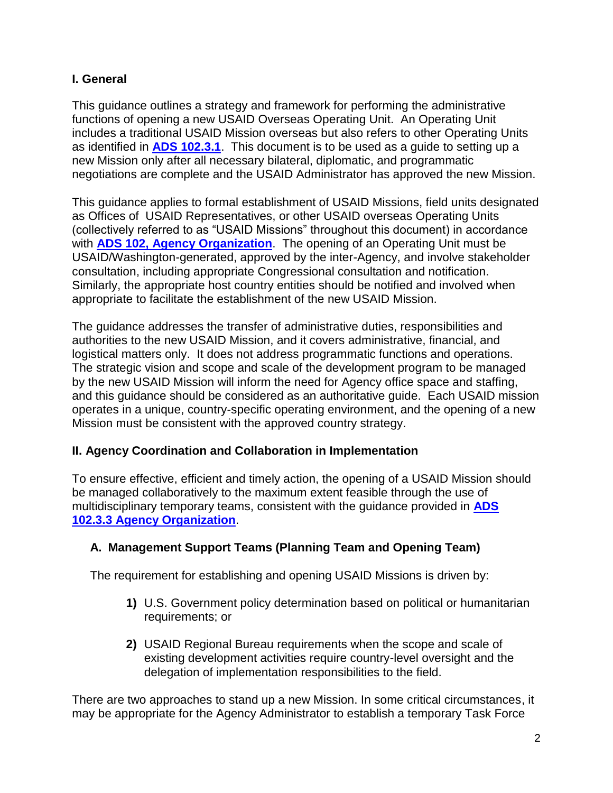#### **I. General**

This guidance outlines a strategy and framework for performing the administrative functions of opening a new USAID Overseas Operating Unit. An Operating Unit includes a traditional USAID Mission overseas but also refers to other Operating Units as identified in **[ADS 102.3.1](https://www.usaid.gov/ads/policy/100/102)**. This document is to be used as a guide to setting up a new Mission only after all necessary bilateral, diplomatic, and programmatic negotiations are complete and the USAID Administrator has approved the new Mission.

This guidance applies to formal establishment of USAID Missions, field units designated as Offices of USAID Representatives, or other USAID overseas Operating Units (collectively referred to as "USAID Missions" throughout this document) in accordance with **[ADS 102, Agency Organization](https://www.usaid.gov/sites/default/files/documents/1868/102.pdf)**. The opening of an Operating Unit must be USAID/Washington-generated, approved by the inter-Agency, and involve stakeholder consultation, including appropriate Congressional consultation and notification. Similarly, the appropriate host country entities should be notified and involved when appropriate to facilitate the establishment of the new USAID Mission.

The guidance addresses the transfer of administrative duties, responsibilities and authorities to the new USAID Mission, and it covers administrative, financial, and logistical matters only. It does not address programmatic functions and operations. The strategic vision and scope and scale of the development program to be managed by the new USAID Mission will inform the need for Agency office space and staffing, and this guidance should be considered as an authoritative guide. Each USAID mission operates in a unique, country-specific operating environment, and the opening of a new Mission must be consistent with the approved country strategy.

#### **II. Agency Coordination and Collaboration in Implementation**

To ensure effective, efficient and timely action, the opening of a USAID Mission should be managed collaboratively to the maximum extent feasible through the use of multidisciplinary temporary teams, consistent with the guidance provided in **ADS 102[.3.3](https://www.usaid.gov/ads/policy/100/102) [Agency Organization](https://www.usaid.gov/ads/policy/100/102)**.

# **A. Management Support Teams (Planning Team and Opening Team)**

The requirement for establishing and opening USAID Missions is driven by:

- **1)** U.S. Government policy determination based on political or humanitarian requirements; or
- **2)** USAID Regional Bureau requirements when the scope and scale of existing development activities require country-level oversight and the delegation of implementation responsibilities to the field.

There are two approaches to stand up a new Mission. In some critical circumstances, it may be appropriate for the Agency Administrator to establish a temporary Task Force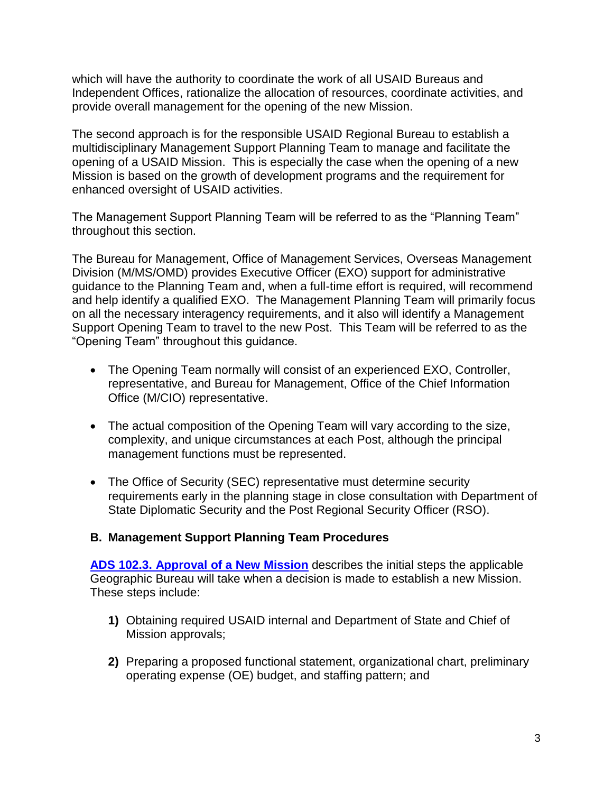which will have the authority to coordinate the work of all USAID Bureaus and Independent Offices, rationalize the allocation of resources, coordinate activities, and provide overall management for the opening of the new Mission.

The second approach is for the responsible USAID Regional Bureau to establish a multidisciplinary Management Support Planning Team to manage and facilitate the opening of a USAID Mission. This is especially the case when the opening of a new Mission is based on the growth of development programs and the requirement for enhanced oversight of USAID activities.

The Management Support Planning Team will be referred to as the "Planning Team" throughout this section.

The Bureau for Management, Office of Management Services, Overseas Management Division (M/MS/OMD) provides Executive Officer (EXO) support for administrative guidance to the Planning Team and, when a full-time effort is required, will recommend and help identify a qualified EXO. The Management Planning Team will primarily focus on all the necessary interagency requirements, and it also will identify a Management Support Opening Team to travel to the new Post. This Team will be referred to as the "Opening Team" throughout this guidance.

- The Opening Team normally will consist of an experienced EXO, Controller, representative, and Bureau for Management, Office of the Chief Information Office (M/CIO) representative.
- The actual composition of the Opening Team will vary according to the size, complexity, and unique circumstances at each Post, although the principal management functions must be represented.
- The Office of Security (SEC) representative must determine security requirements early in the planning stage in close consultation with Department of State Diplomatic Security and the Post Regional Security Officer (RSO).

#### **B. Management Support Planning Team Procedures**

**[ADS 102.3.](https://www.usaid.gov/ads/policy/100/102) [Approval of a New Mission](https://www.usaid.gov/ads/policy/100/102)** describes the initial steps the applicable Geographic Bureau will take when a decision is made to establish a new Mission. These steps include:

- **1)** Obtaining required USAID internal and Department of State and Chief of Mission approvals;
- **2)** Preparing a proposed functional statement, organizational chart, preliminary operating expense (OE) budget, and staffing pattern; and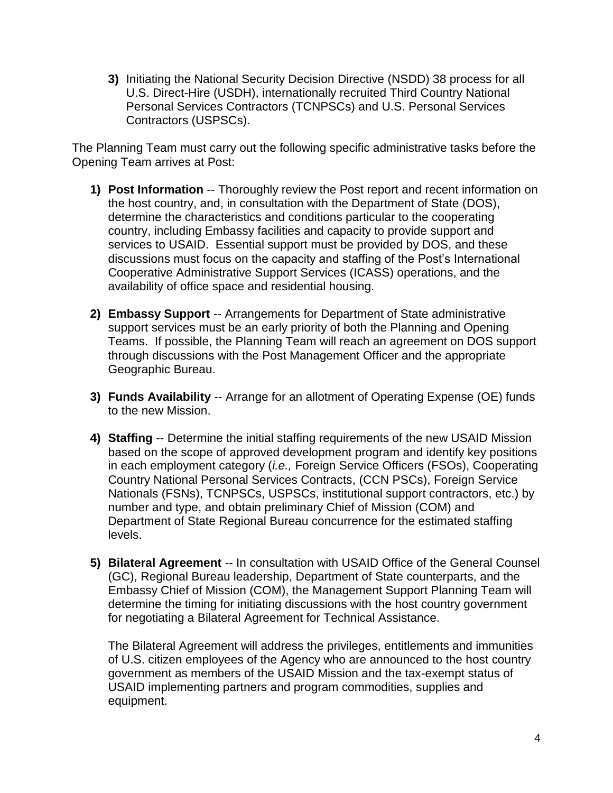**3)** Initiating the National Security Decision Directive (NSDD) 38 process for all U.S. Direct-Hire (USDH), internationally recruited Third Country National Personal Services Contractors (TCNPSCs) and U.S. Personal Services Contractors (USPSCs).

The Planning Team must carry out the following specific administrative tasks before the Opening Team arrives at Post:

- **1) Post Information** -- Thoroughly review the Post report and recent information on the host country, and, in consultation with the Department of State (DOS), determine the characteristics and conditions particular to the cooperating country, including Embassy facilities and capacity to provide support and services to USAID. Essential support must be provided by DOS, and these discussions must focus on the capacity and staffing of the Post's International Cooperative Administrative Support Services (ICASS) operations, and the availability of office space and residential housing.
- **2) Embassy Support** -- Arrangements for Department of State administrative support services must be an early priority of both the Planning and Opening Teams. If possible, the Planning Team will reach an agreement on DOS support through discussions with the Post Management Officer and the appropriate Geographic Bureau.
- **3) Funds Availability** -- Arrange for an allotment of Operating Expense (OE) funds to the new Mission.
- **4) Staffing** -- Determine the initial staffing requirements of the new USAID Mission based on the scope of approved development program and identify key positions in each employment category (*i.e.,* Foreign Service Officers (FSOs), Cooperating Country National Personal Services Contracts, (CCN PSCs), Foreign Service Nationals (FSNs), TCNPSCs, USPSCs, institutional support contractors, etc.) by number and type, and obtain preliminary Chief of Mission (COM) and Department of State Regional Bureau concurrence for the estimated staffing levels.
- **5) Bilateral Agreement** -- In consultation with USAID Office of the General Counsel (GC), Regional Bureau leadership, Department of State counterparts, and the Embassy Chief of Mission (COM), the Management Support Planning Team will determine the timing for initiating discussions with the host country government for negotiating a Bilateral Agreement for Technical Assistance.

The Bilateral Agreement will address the privileges, entitlements and immunities of U.S. citizen employees of the Agency who are announced to the host country government as members of the USAID Mission and the tax-exempt status of USAID implementing partners and program commodities, supplies and equipment.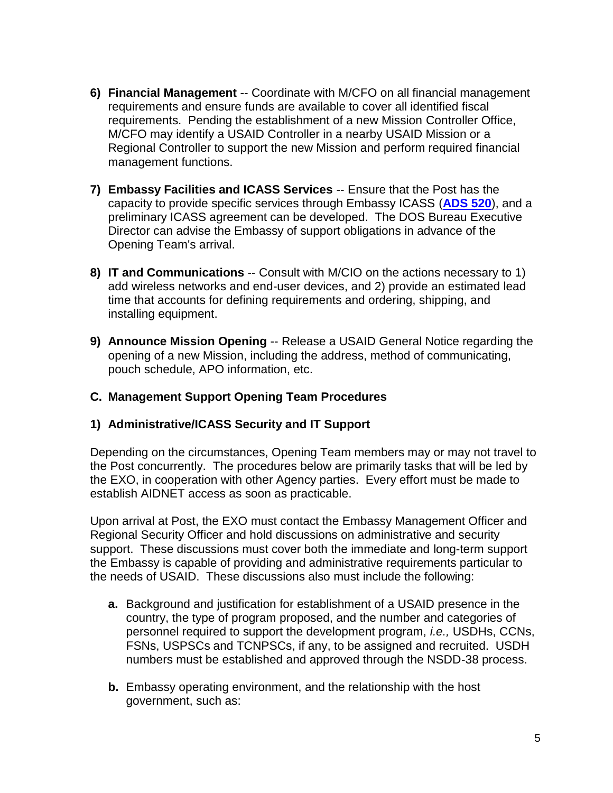- **6) Financial Management** -- Coordinate with M/CFO on all financial management requirements and ensure funds are available to cover all identified fiscal requirements. Pending the establishment of a new Mission Controller Office, M/CFO may identify a USAID Controller in a nearby USAID Mission or a Regional Controller to support the new Mission and perform required financial management functions.
- **7) Embassy Facilities and ICASS Services** -- Ensure that the Post has the capacity to provide specific services through Embassy ICASS [\(](https://www.usaid.gov/ads/policy/500/520)**[ADS 520](https://www.usaid.gov/ads/policy/500/520)**[\),](https://www.usaid.gov/ads/policy/500/520) and a preliminary ICASS agreement can be developed. The DOS Bureau Executive Director can advise the Embassy of support obligations in advance of the Opening Team's arrival.
- **8) IT and Communications** -- Consult with M/CIO on the actions necessary to 1) add wireless networks and end-user devices, and 2) provide an estimated lead time that accounts for defining requirements and ordering, shipping, and installing equipment.
- **9) Announce Mission Opening** -- Release a USAID General Notice regarding the opening of a new Mission, including the address, method of communicating, pouch schedule, APO information, etc.

#### **C. Management Support Opening Team Procedures**

#### **1) Administrative/ICASS Security and IT Support**

Depending on the circumstances, Opening Team members may or may not travel to the Post concurrently. The procedures below are primarily tasks that will be led by the EXO, in cooperation with other Agency parties. Every effort must be made to establish AIDNET access as soon as practicable.

Upon arrival at Post, the EXO must contact the Embassy Management Officer and Regional Security Officer and hold discussions on administrative and security support. These discussions must cover both the immediate and long-term support the Embassy is capable of providing and administrative requirements particular to the needs of USAID. These discussions also must include the following:

- **a.** Background and justification for establishment of a USAID presence in the country, the type of program proposed, and the number and categories of personnel required to support the development program, *i.e.,* USDHs, CCNs, FSNs, USPSCs and TCNPSCs, if any, to be assigned and recruited. USDH numbers must be established and approved through the NSDD-38 process.
- **b.** Embassy operating environment, and the relationship with the host government, such as: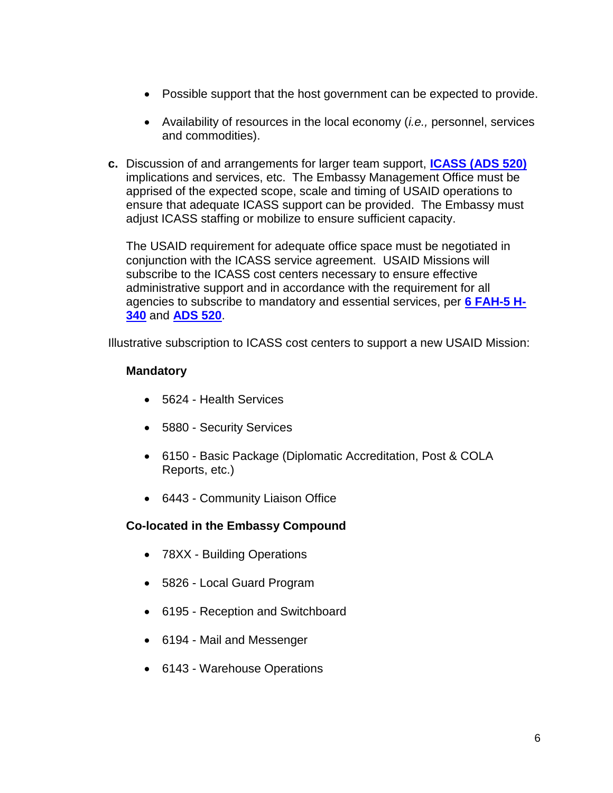- Possible support that the host government can be expected to provide.
- Availability of resources in the local economy (*i.e.,* personnel, services and commodities).
- **c.** Discussion of and arrangements for larger team support, **[ICASS \(ADS 520\)](https://www.usaid.gov/ads/policy/500/520)**  implications and services, etc. The Embassy Management Office must be apprised of the expected scope, scale and timing of USAID operations to ensure that adequate ICASS support can be provided. The Embassy must adjust ICASS staffing or mobilize to ensure sufficient capacity.

The USAID requirement for adequate office space must be negotiated in conjunction with the ICASS service agreement. USAID Missions will subscribe to the ICASS cost centers necessary to ensure effective administrative support and in accordance with the requirement for all agencies to subscribe to mandatory and essential services, per **[6 FAH-5 H-](https://fam.state.gov/FAM/06FAH05/06FAH050340.html)[340](https://fam.state.gov/FAM/06FAH05/06FAH050340.html)** and **[ADS 520](https://www.usaid.gov/ads/policy/500/520)**.

Illustrative subscription to ICASS cost centers to support a new USAID Mission:

#### **Mandatory**

- 5624 Health Services
- 5880 Security Services
- 6150 Basic Package (Diplomatic Accreditation, Post & COLA Reports, etc.)
- 6443 Community Liaison Office

#### **Co-located in the Embassy Compound**

- 78XX Building Operations
- 5826 Local Guard Program
- 6195 Reception and Switchboard
- 6194 Mail and Messenger
- 6143 Warehouse Operations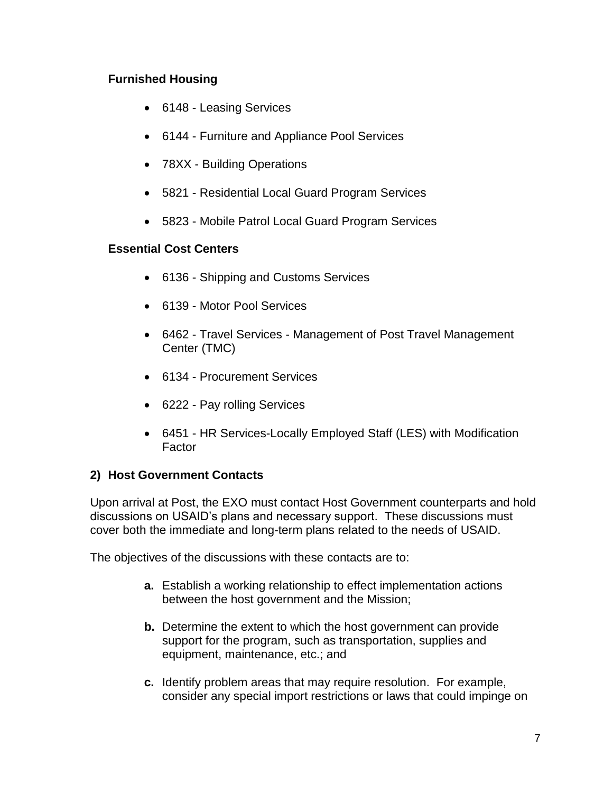## **Furnished Housing**

- 6148 Leasing Services
- 6144 Furniture and Appliance Pool Services
- 78XX Building Operations
- 5821 Residential Local Guard Program Services
- 5823 Mobile Patrol Local Guard Program Services

#### **Essential Cost Centers**

- 6136 Shipping and Customs Services
- 6139 Motor Pool Services
- 6462 Travel Services Management of Post Travel Management Center (TMC)
- 6134 Procurement Services
- 6222 Pay rolling Services
- 6451 HR Services-Locally Employed Staff (LES) with Modification Factor

# **2) Host Government Contacts**

Upon arrival at Post, the EXO must contact Host Government counterparts and hold discussions on USAID's plans and necessary support. These discussions must cover both the immediate and long-term plans related to the needs of USAID.

The objectives of the discussions with these contacts are to:

- **a.** Establish a working relationship to effect implementation actions between the host government and the Mission;
- **b.** Determine the extent to which the host government can provide support for the program, such as transportation, supplies and equipment, maintenance, etc.; and
- **c.** Identify problem areas that may require resolution. For example, consider any special import restrictions or laws that could impinge on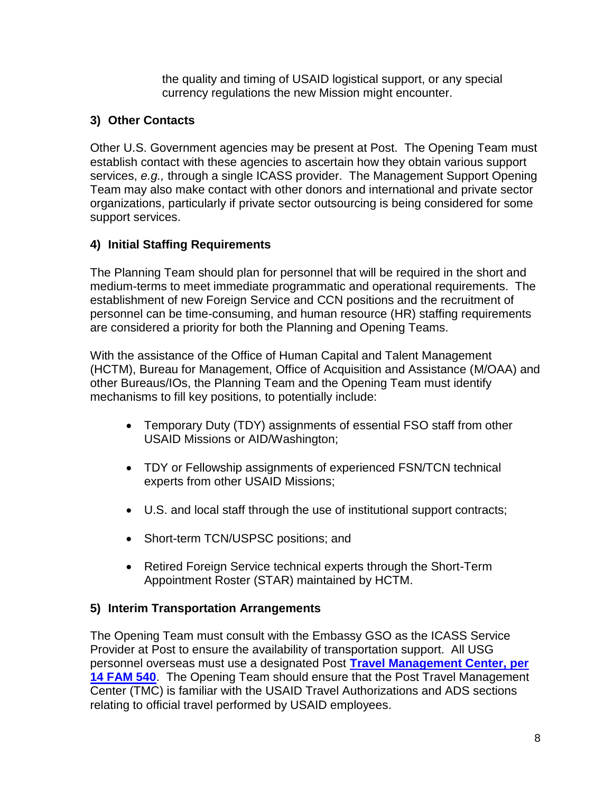the quality and timing of USAID logistical support, or any special currency regulations the new Mission might encounter.

# **3) Other Contacts**

Other U.S. Government agencies may be present at Post. The Opening Team must establish contact with these agencies to ascertain how they obtain various support services, *e.g.,* through a single ICASS provider. The Management Support Opening Team may also make contact with other donors and international and private sector organizations, particularly if private sector outsourcing is being considered for some support services.

# **4) Initial Staffing Requirements**

The Planning Team should plan for personnel that will be required in the short and medium-terms to meet immediate programmatic and operational requirements. The establishment of new Foreign Service and CCN positions and the recruitment of personnel can be time-consuming, and human resource (HR) staffing requirements are considered a priority for both the Planning and Opening Teams.

With the assistance of the Office of Human Capital and Talent Management (HCTM), Bureau for Management, Office of Acquisition and Assistance (M/OAA) and other Bureaus/IOs, the Planning Team and the Opening Team must identify mechanisms to fill key positions, to potentially include:

- Temporary Duty (TDY) assignments of essential FSO staff from other USAID Missions or AID/Washington;
- TDY or Fellowship assignments of experienced FSN/TCN technical experts from other USAID Missions;
- U.S. and local staff through the use of institutional support contracts;
- Short-term TCN/USPSC positions; and
- Retired Foreign Service technical experts through the Short-Term Appointment Roster (STAR) maintained by HCTM.

# **5) Interim Transportation Arrangements**

The Opening Team must consult with the Embassy GSO as the ICASS Service Provider at Post to ensure the availability of transportation support. All USG personnel overseas must use a designated Post **[Travel Management Center, per](https://fam.state.gov/FAM/14FAM/14FAM0540.html)  [14 FAM 540](https://fam.state.gov/FAM/14FAM/14FAM0540.html)**. The Opening Team should ensure that the Post Travel Management Center (TMC) is familiar with the USAID Travel Authorizations and ADS sections relating to official travel performed by USAID employees.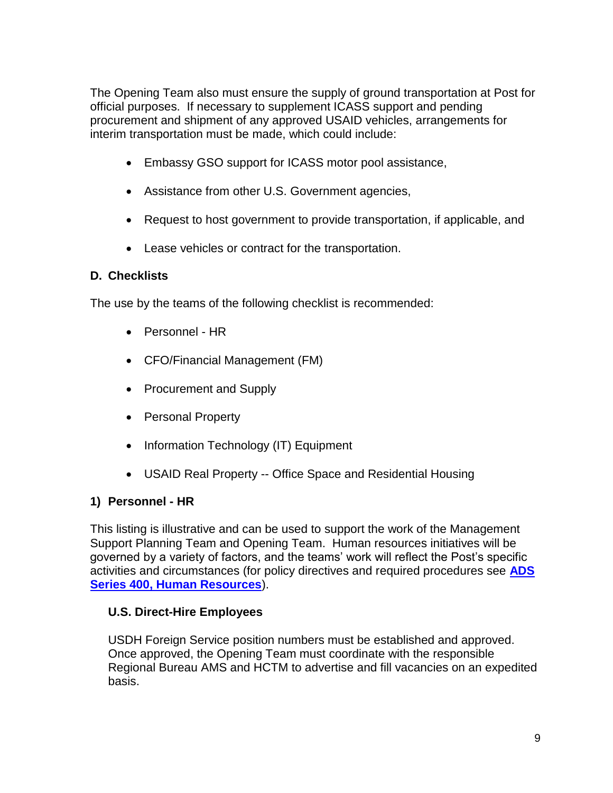The Opening Team also must ensure the supply of ground transportation at Post for official purposes. If necessary to supplement ICASS support and pending procurement and shipment of any approved USAID vehicles, arrangements for interim transportation must be made, which could include:

- Embassy GSO support for ICASS motor pool assistance,
- Assistance from other U.S. Government agencies,
- Request to host government to provide transportation, if applicable, and
- Lease vehicles or contract for the transportation.

#### **D. Checklists**

The use by the teams of the following checklist is recommended:

- Personnel HR
- CFO/Financial Management (FM)
- Procurement and Supply
- Personal Property
- Information Technology (IT) Equipment
- USAID Real Property -- Office Space and Residential Housing

#### **1) Personnel - HR**

This listing is illustrative and can be used to support the work of the Management Support Planning Team and Opening Team. Human resources initiatives will be governed by a variety of factors, and the teams' work will reflect the Post's specific activities and circumstances (for policy directives and required procedures se[e](https://www.usaid.gov/who-we-are/agency-policy/series-400) **[ADS](https://www.usaid.gov/who-we-are/agency-policy/series-400)  [Series 400, Human Resources](https://www.usaid.gov/who-we-are/agency-policy/series-400)**).

#### **U.S. Direct-Hire Employees**

USDH Foreign Service position numbers must be established and approved. Once approved, the Opening Team must coordinate with the responsible Regional Bureau AMS and HCTM to advertise and fill vacancies on an expedited basis.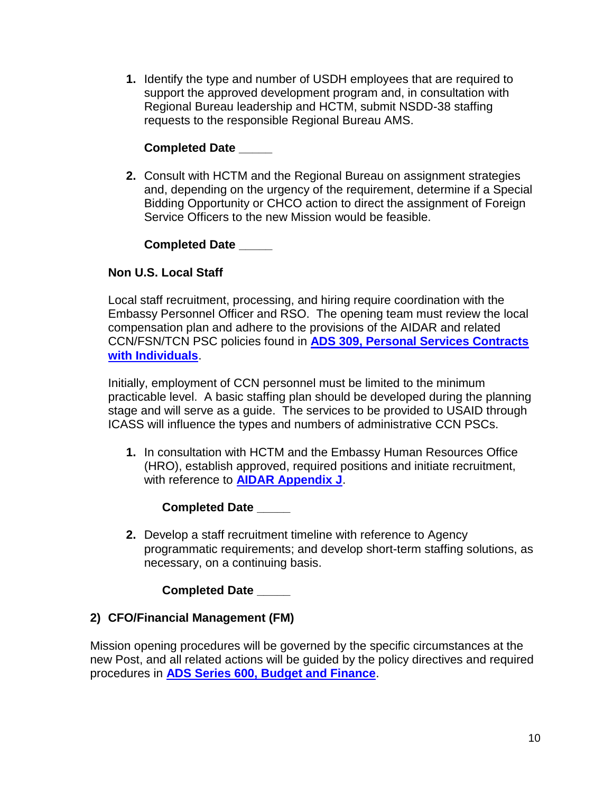**1.** Identify the type and number of USDH employees that are required to support the approved development program and, in consultation with Regional Bureau leadership and HCTM, submit NSDD-38 staffing requests to the responsible Regional Bureau AMS.

## **Completed Date \_\_\_\_\_**

**2.** Consult with HCTM and the Regional Bureau on assignment strategies and, depending on the urgency of the requirement, determine if a Special Bidding Opportunity or CHCO action to direct the assignment of Foreign Service Officers to the new Mission would be feasible.

**Completed Date \_\_\_\_\_**

## **Non U.S. Local Staff**

Local staff recruitment, processing, and hiring require coordination with the Embassy Personnel Officer and RSO. The opening team must review the local compensation plan and adhere to the provisions of the AIDAR and related CCN/FSN/TCN PSC policies found in **[ADS 309, Personal Services Contracts](https://www.usaid.gov/ads/policy/300/309)  [with Individuals](https://www.usaid.gov/ads/policy/300/309)**.

Initially, employment of CCN personnel must be limited to the minimum practicable level. A basic staffing plan should be developed during the planning stage and will serve as a guide. The services to be provided to USAID through ICASS will influence the types and numbers of administrative CCN PSCs.

**1.** In consultation with HCTM and the Embassy Human Resources Office (HRO), establish approved, required positions and initiate recruitment, with reference to **[AIDAR Appendix J](http://www.usaid.gov/ads/policy/300/aidar)**.

#### **Completed Date \_\_\_\_\_**

**2.** Develop a staff recruitment timeline with reference to Agency programmatic requirements; and develop short-term staffing solutions, as necessary, on a continuing basis.

#### **Completed Date \_\_\_\_\_**

#### **2) CFO/Financial Management (FM)**

Mission opening procedures will be governed by the specific circumstances at the new Post, and all related actions will be guided by the policy directives and required procedures in **[ADS Series 600, Budget and Finance](https://www.usaid.gov/who-we-are/agency-policy/series-600)**.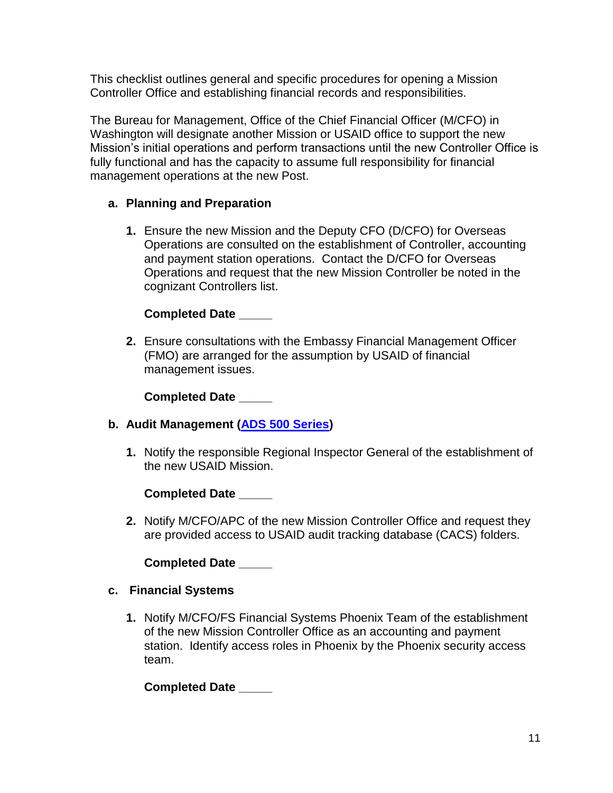This checklist outlines general and specific procedures for opening a Mission Controller Office and establishing financial records and responsibilities.

The Bureau for Management, Office of the Chief Financial Officer (M/CFO) in Washington will designate another Mission or USAID office to support the new Mission's initial operations and perform transactions until the new Controller Office is fully functional and has the capacity to assume full responsibility for financial management operations at the new Post.

## **a. Planning and Preparation**

**1.** Ensure the new Mission and the Deputy CFO (D/CFO) for Overseas Operations are consulted on the establishment of Controller, accounting and payment station operations. Contact the D/CFO for Overseas Operations and request that the new Mission Controller be noted in the cognizant Controllers list.

## **Completed Date \_\_\_\_\_**

**2.** Ensure consultations with the Embassy Financial Management Officer (FMO) are arranged for the assumption by USAID of financial management issues.

**Completed Date \_\_\_\_\_**

# **b. Audit Management [\(ADS 500 Series\)](https://www.usaid.gov/who-we-are/agency-policy/series-500)**

**1.** Notify the responsible Regional Inspector General of the establishment of the new USAID Mission.

**Completed Date \_\_\_\_\_**

**2.** Notify M/CFO/APC of the new Mission Controller Office and request they are provided access to USAID audit tracking database (CACS) folders.

**Completed Date \_\_\_\_\_**

#### **c. Financial Systems**

**1.** Notify M/CFO/FS Financial Systems Phoenix Team of the establishment of the new Mission Controller Office as an accounting and payment station. Identify access roles in Phoenix by the Phoenix security access team.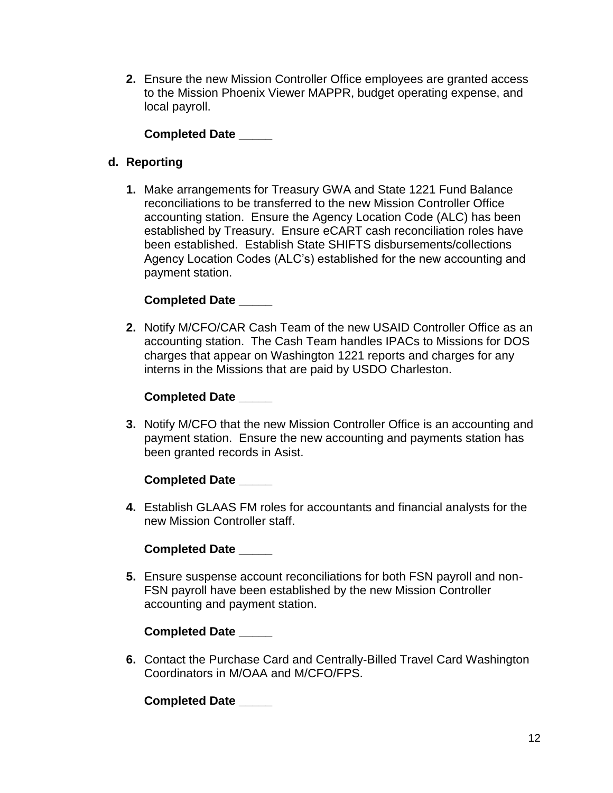**2.** Ensure the new Mission Controller Office employees are granted access to the Mission Phoenix Viewer MAPPR, budget operating expense, and local payroll.

**Completed Date \_\_\_\_\_**

## **d. Reporting**

**1.** Make arrangements for Treasury GWA and State 1221 Fund Balance reconciliations to be transferred to the new Mission Controller Office accounting station. Ensure the Agency Location Code (ALC) has been established by Treasury. Ensure eCART cash reconciliation roles have been established. Establish State SHIFTS disbursements/collections Agency Location Codes (ALC's) established for the new accounting and payment station.

#### **Completed Date \_\_\_\_\_**

**2.** Notify M/CFO/CAR Cash Team of the new USAID Controller Office as an accounting station. The Cash Team handles IPACs to Missions for DOS charges that appear on Washington 1221 reports and charges for any interns in the Missions that are paid by USDO Charleston.

#### **Completed Date \_\_\_\_\_**

**3.** Notify M/CFO that the new Mission Controller Office is an accounting and payment station. Ensure the new accounting and payments station has been granted records in Asist.

#### **Completed Date \_\_\_\_\_**

**4.** Establish GLAAS FM roles for accountants and financial analysts for the new Mission Controller staff.

**Completed Date \_\_\_\_\_**

**5.** Ensure suspense account reconciliations for both FSN payroll and non-FSN payroll have been established by the new Mission Controller accounting and payment station.

**Completed Date \_\_\_\_\_**

**6.** Contact the Purchase Card and Centrally-Billed Travel Card Washington Coordinators in M/OAA and M/CFO/FPS.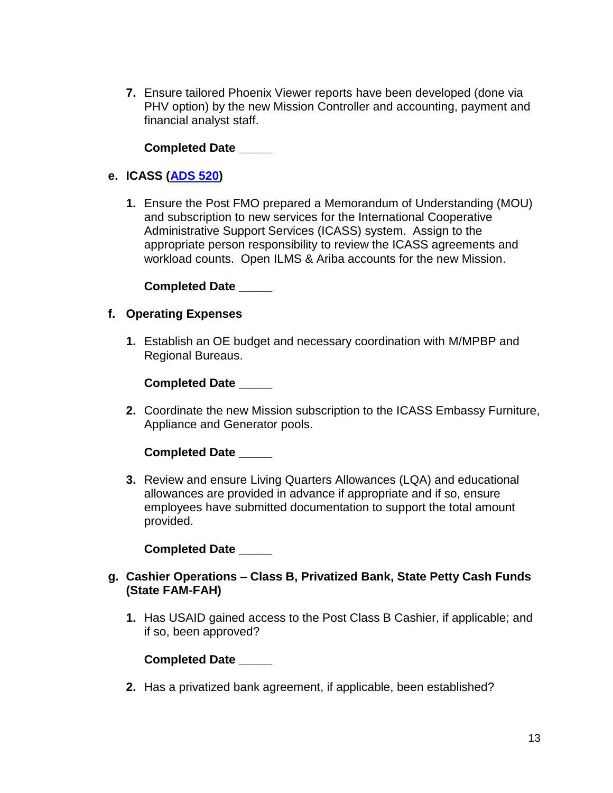**7.** Ensure tailored Phoenix Viewer reports have been developed (done via PHV option) by the new Mission Controller and accounting, payment and financial analyst staff.

**Completed Date \_\_\_\_\_**

#### **e. ICASS [\(ADS 520\)](https://www.usaid.gov/ads/policy/500/520)**

**1.** Ensure the Post FMO prepared a Memorandum of Understanding (MOU) and subscription to new services for the International Cooperative Administrative Support Services (ICASS) system. Assign to the appropriate person responsibility to review the ICASS agreements and workload counts. Open ILMS & Ariba accounts for the new Mission.

**Completed Date \_\_\_\_\_**

#### **f. Operating Expenses**

**1.** Establish an OE budget and necessary coordination with M/MPBP and Regional Bureaus.

#### **Completed Date \_\_\_\_\_**

**2.** Coordinate the new Mission subscription to the ICASS Embassy Furniture, Appliance and Generator pools.

**Completed Date \_\_\_\_\_**

**3.** Review and ensure Living Quarters Allowances (LQA) and educational allowances are provided in advance if appropriate and if so, ensure employees have submitted documentation to support the total amount provided.

**Completed Date \_\_\_\_\_**

- **g. Cashier Operations – Class B, Privatized Bank, State Petty Cash Funds (State FAM-FAH)**
	- **1.** Has USAID gained access to the Post Class B Cashier, if applicable; and if so, been approved?

#### **Completed Date \_\_\_\_\_**

**2.** Has a privatized bank agreement, if applicable, been established?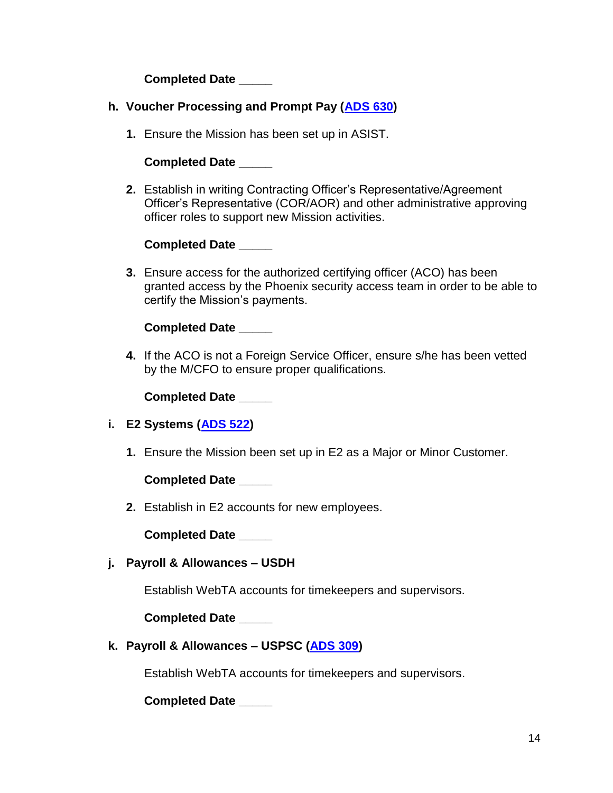**Completed Date \_\_\_\_\_**

- **h. Voucher Processing and Prompt Pay [\(ADS 630\)](https://www.usaid.gov/ads/policy/600/630)**
	- **1.** Ensure the Mission has been set up in ASIST.

#### **Completed Date \_\_\_\_\_**

**2.** Establish in writing Contracting Officer's Representative/Agreement Officer's Representative (COR/AOR) and other administrative approving officer roles to support new Mission activities.

## **Completed Date \_\_\_\_\_**

**3.** Ensure access for the authorized certifying officer (ACO) has been granted access by the Phoenix security access team in order to be able to certify the Mission's payments.

#### **Completed Date \_\_\_\_\_**

**4.** If the ACO is not a Foreign Service Officer, ensure s/he has been vetted by the M/CFO to ensure proper qualifications.

**Completed Date \_\_\_\_\_**

#### **i. E2 Systems [\(ADS 522\)](https://www.usaid.gov/ads/policy/500/522)**

**1.** Ensure the Mission been set up in E2 as a Major or Minor Customer.

**Completed Date \_\_\_\_\_**

**2.** Establish in E2 accounts for new employees.

**Completed Date \_\_\_\_\_**

**j. Payroll & Allowances – USDH**

Establish WebTA accounts for timekeepers and supervisors.

**Completed Date \_\_\_\_\_**

**k. Payroll & Allowances – USPSC [\(ADS 309\)](https://www.usaid.gov/ads/policy/300/309)**

Establish WebTA accounts for timekeepers and supervisors.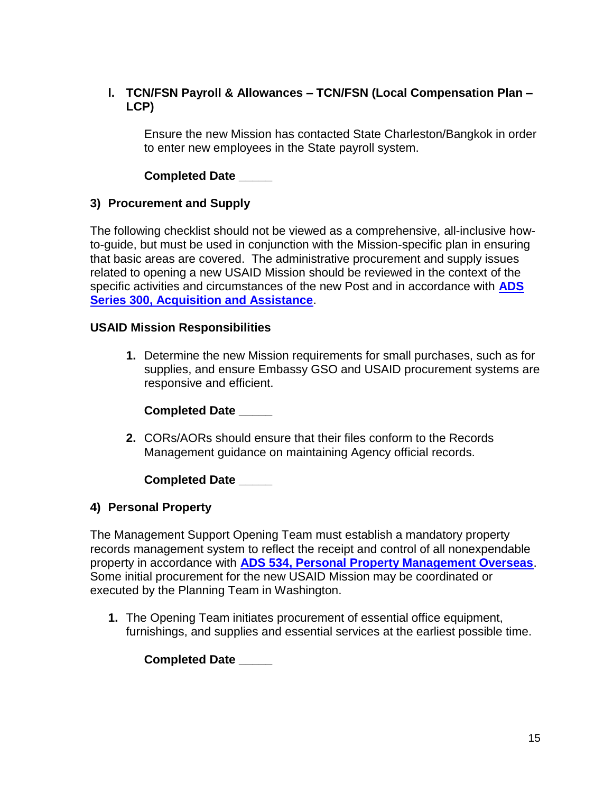## **l. TCN/FSN Payroll & Allowances – TCN/FSN (Local Compensation Plan – LCP)**

Ensure the new Mission has contacted State Charleston/Bangkok in order to enter new employees in the State payroll system.

## **Completed Date \_\_\_\_\_**

#### **3) Procurement and Supply**

The following checklist should not be viewed as a comprehensive, all-inclusive howto-guide, but must be used in conjunction with the Mission-specific plan in ensuring that basic areas are covered. The administrative procurement and supply issues related to opening a new USAID Mission should be reviewed in the context of the specific activities and circumstances of the new Post and in accordance wit[h](https://www.usaid.gov/who-we-are/agency-policy/series-300) **[ADS](https://www.usaid.gov/who-we-are/agency-policy/series-300)  [Series 300, Acquisition and Assistance](https://www.usaid.gov/who-we-are/agency-policy/series-300)**.

#### **USAID Mission Responsibilities**

**1.** Determine the new Mission requirements for small purchases, such as for supplies, and ensure Embassy GSO and USAID procurement systems are responsive and efficient.

**Completed Date \_\_\_\_\_**

**2.** CORs/AORs should ensure that their files conform to the Records Management guidance on maintaining Agency official records.

**Completed Date \_\_\_\_\_**

#### **4) Personal Property**

The Management Support Opening Team must establish a mandatory property records management system to reflect the receipt and control of all nonexpendable property in accordance with **[ADS 534, Personal Property Management Overseas](https://www.usaid.gov/ads/policy/500/534)**. Some initial procurement for the new USAID Mission may be coordinated or executed by the Planning Team in Washington.

**1.** The Opening Team initiates procurement of essential office equipment, furnishings, and supplies and essential services at the earliest possible time.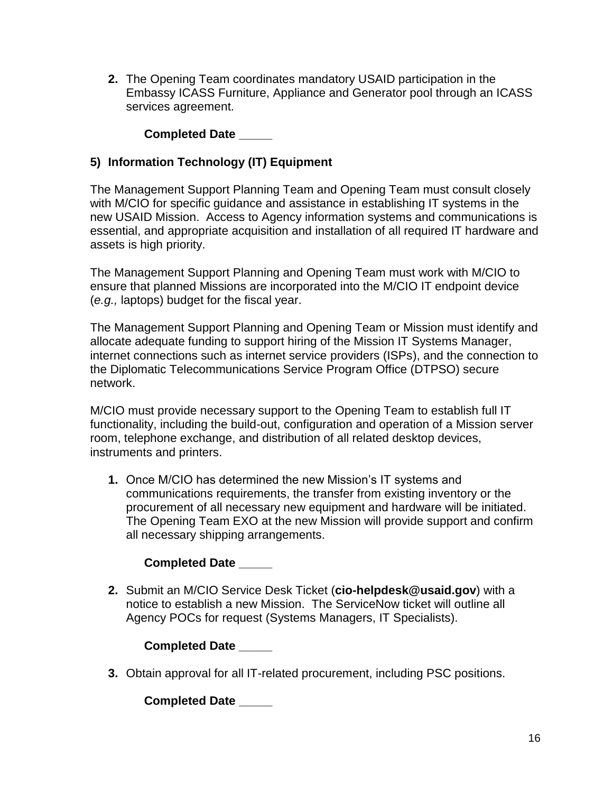**2.** The Opening Team coordinates mandatory USAID participation in the Embassy ICASS Furniture, Appliance and Generator pool through an ICASS services agreement.

**Completed Date \_\_\_\_\_**

# **5) Information Technology (IT) Equipment**

The Management Support Planning Team and Opening Team must consult closely with M/CIO for specific guidance and assistance in establishing IT systems in the new USAID Mission. Access to Agency information systems and communications is essential, and appropriate acquisition and installation of all required IT hardware and assets is high priority.

The Management Support Planning and Opening Team must work with M/CIO to ensure that planned Missions are incorporated into the M/CIO IT endpoint device (*e.g.,* laptops) budget for the fiscal year.

The Management Support Planning and Opening Team or Mission must identify and allocate adequate funding to support hiring of the Mission IT Systems Manager, internet connections such as internet service providers (ISPs), and the connection to the Diplomatic Telecommunications Service Program Office (DTPSO) secure network.

M/CIO must provide necessary support to the Opening Team to establish full IT functionality, including the build-out, configuration and operation of a Mission server room, telephone exchange, and distribution of all related desktop devices, instruments and printers.

**1.** Once M/CIO has determined the new Mission's IT systems and communications requirements, the transfer from existing inventory or the procurement of all necessary new equipment and hardware will be initiated. The Opening Team EXO at the new Mission will provide support and confirm all necessary shipping arrangements.

#### **Completed Date \_\_\_\_\_**

**2.** Submit an M/CIO Service Desk Ticket (**cio-helpdesk@usaid.gov**) with a notice to establish a new Mission. The ServiceNow ticket will outline all Agency POCs for request (Systems Managers, IT Specialists).

**Completed Date \_\_\_\_\_**

**3.** Obtain approval for all IT-related procurement, including PSC positions.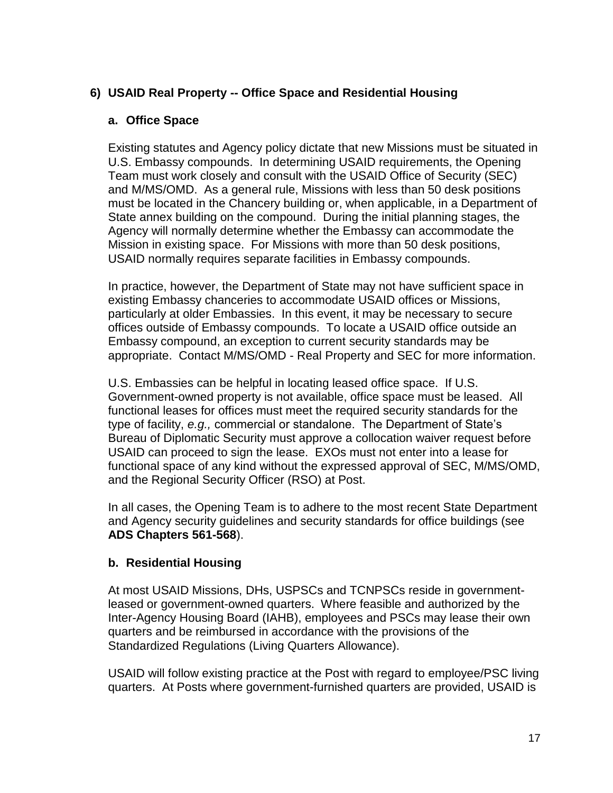## **6) USAID Real Property -- Office Space and Residential Housing**

#### **a. Office Space**

Existing statutes and Agency policy dictate that new Missions must be situated in U.S. Embassy compounds. In determining USAID requirements, the Opening Team must work closely and consult with the USAID Office of Security (SEC) and M/MS/OMD. As a general rule, Missions with less than 50 desk positions must be located in the Chancery building or, when applicable, in a Department of State annex building on the compound. During the initial planning stages, the Agency will normally determine whether the Embassy can accommodate the Mission in existing space. For Missions with more than 50 desk positions, USAID normally requires separate facilities in Embassy compounds.

In practice, however, the Department of State may not have sufficient space in existing Embassy chanceries to accommodate USAID offices or Missions, particularly at older Embassies. In this event, it may be necessary to secure offices outside of Embassy compounds. To locate a USAID office outside an Embassy compound, an exception to current security standards may be appropriate. Contact M/MS/OMD - Real Property and SEC for more information.

U.S. Embassies can be helpful in locating leased office space. If U.S. Government-owned property is not available, office space must be leased. All functional leases for offices must meet the required security standards for the type of facility, *e.g.,* commercial or standalone. The Department of State's Bureau of Diplomatic Security must approve a collocation waiver request before USAID can proceed to sign the lease. EXOs must not enter into a lease for functional space of any kind without the expressed approval of SEC, M/MS/OMD, and the Regional Security Officer (RSO) at Post.

In all cases, the Opening Team is to adhere to the most recent State Department and Agency security guidelines and security standards for office buildings (see **ADS Chapters 561-568**).

#### **b. Residential Housing**

At most USAID Missions, DHs, USPSCs and TCNPSCs reside in governmentleased or government-owned quarters. Where feasible and authorized by the Inter-Agency Housing Board (IAHB), employees and PSCs may lease their own quarters and be reimbursed in accordance with the provisions of the Standardized Regulations (Living Quarters Allowance).

USAID will follow existing practice at the Post with regard to employee/PSC living quarters. At Posts where government-furnished quarters are provided, USAID is